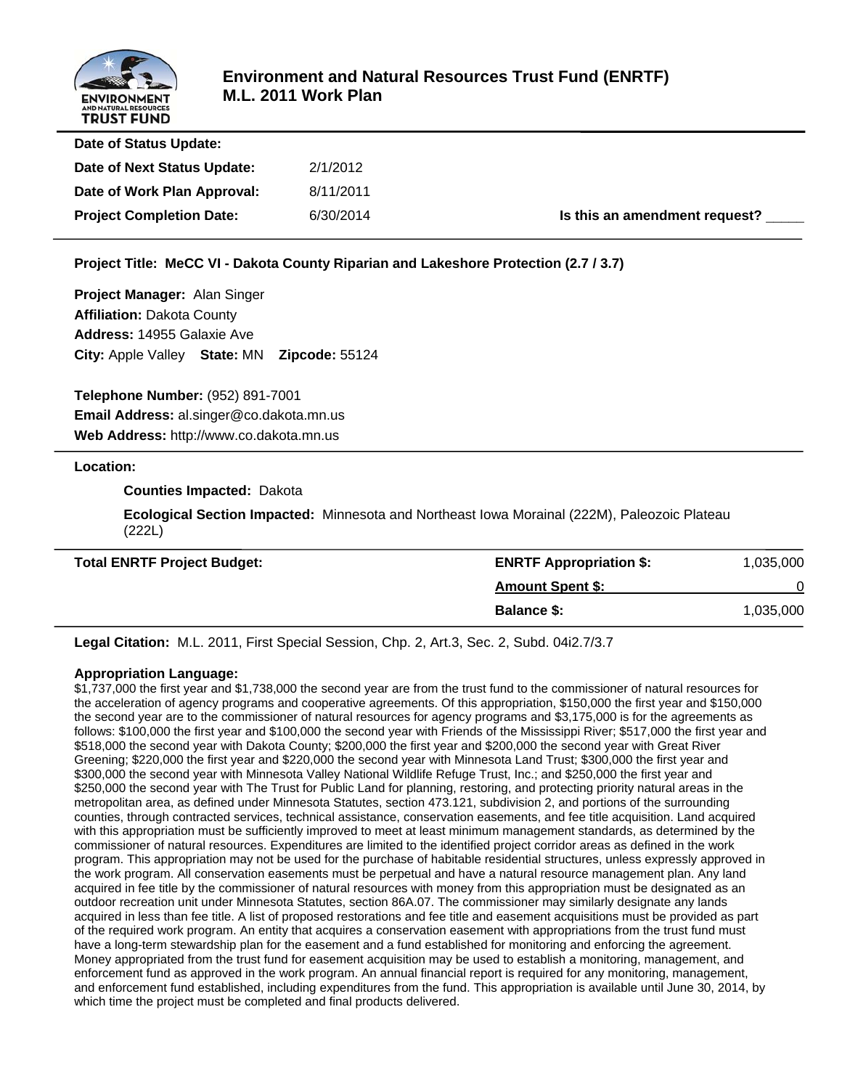

| Date of Status Update:          |           |                               |
|---------------------------------|-----------|-------------------------------|
| Date of Next Status Update:     | 2/1/2012  |                               |
| Date of Work Plan Approval:     | 8/11/2011 |                               |
| <b>Project Completion Date:</b> | 6/30/2014 | Is this an amendment request? |
|                                 |           |                               |

#### **Project Title: MeCC VI - Dakota County Riparian and Lakeshore Protection (2.7 / 3.7)**

**Project Manager:** Alan Singer **Affiliation:** Dakota County **Address:** 14955 Galaxie Ave **City:** Apple Valley **State:** MN **Zipcode:** 55124

**Telephone Number:** (952) 891-7001 **Email Address:** al.singer@co.dakota.mn.us **Web Address:** http://www.co.dakota.mn.us

#### **Location:**

#### **Counties Impacted:** Dakota

 **Ecological Section Impacted:** Minnesota and Northeast Iowa Morainal (222M), Paleozoic Plateau (222L)

| <b>Total ENRTF Project Budget:</b> | <b>ENRTF Appropriation \$:</b> | 1,035,000 |
|------------------------------------|--------------------------------|-----------|
|                                    | <b>Amount Spent \$:</b>        |           |
|                                    | <b>Balance \$:</b>             | 1,035,000 |

**Legal Citation:** M.L. 2011, First Special Session, Chp. 2, Art.3, Sec. 2, Subd. 04i2.7/3.7

#### **Appropriation Language:**

\$1,737,000 the first year and \$1,738,000 the second year are from the trust fund to the commissioner of natural resources for the acceleration of agency programs and cooperative agreements. Of this appropriation, \$150,000 the first year and \$150,000 the second year are to the commissioner of natural resources for agency programs and \$3,175,000 is for the agreements as follows: \$100,000 the first year and \$100,000 the second year with Friends of the Mississippi River; \$517,000 the first year and \$518,000 the second year with Dakota County; \$200,000 the first year and \$200,000 the second year with Great River Greening; \$220,000 the first year and \$220,000 the second year with Minnesota Land Trust; \$300,000 the first year and \$300,000 the second year with Minnesota Valley National Wildlife Refuge Trust, Inc.; and \$250,000 the first year and \$250,000 the second year with The Trust for Public Land for planning, restoring, and protecting priority natural areas in the metropolitan area, as defined under Minnesota Statutes, section 473.121, subdivision 2, and portions of the surrounding counties, through contracted services, technical assistance, conservation easements, and fee title acquisition. Land acquired with this appropriation must be sufficiently improved to meet at least minimum management standards, as determined by the commissioner of natural resources. Expenditures are limited to the identified project corridor areas as defined in the work program. This appropriation may not be used for the purchase of habitable residential structures, unless expressly approved in the work program. All conservation easements must be perpetual and have a natural resource management plan. Any land acquired in fee title by the commissioner of natural resources with money from this appropriation must be designated as an outdoor recreation unit under Minnesota Statutes, section 86A.07. The commissioner may similarly designate any lands acquired in less than fee title. A list of proposed restorations and fee title and easement acquisitions must be provided as part of the required work program. An entity that acquires a conservation easement with appropriations from the trust fund must have a long-term stewardship plan for the easement and a fund established for monitoring and enforcing the agreement. Money appropriated from the trust fund for easement acquisition may be used to establish a monitoring, management, and enforcement fund as approved in the work program. An annual financial report is required for any monitoring, management, and enforcement fund established, including expenditures from the fund. This appropriation is available until June 30, 2014, by which time the project must be completed and final products delivered.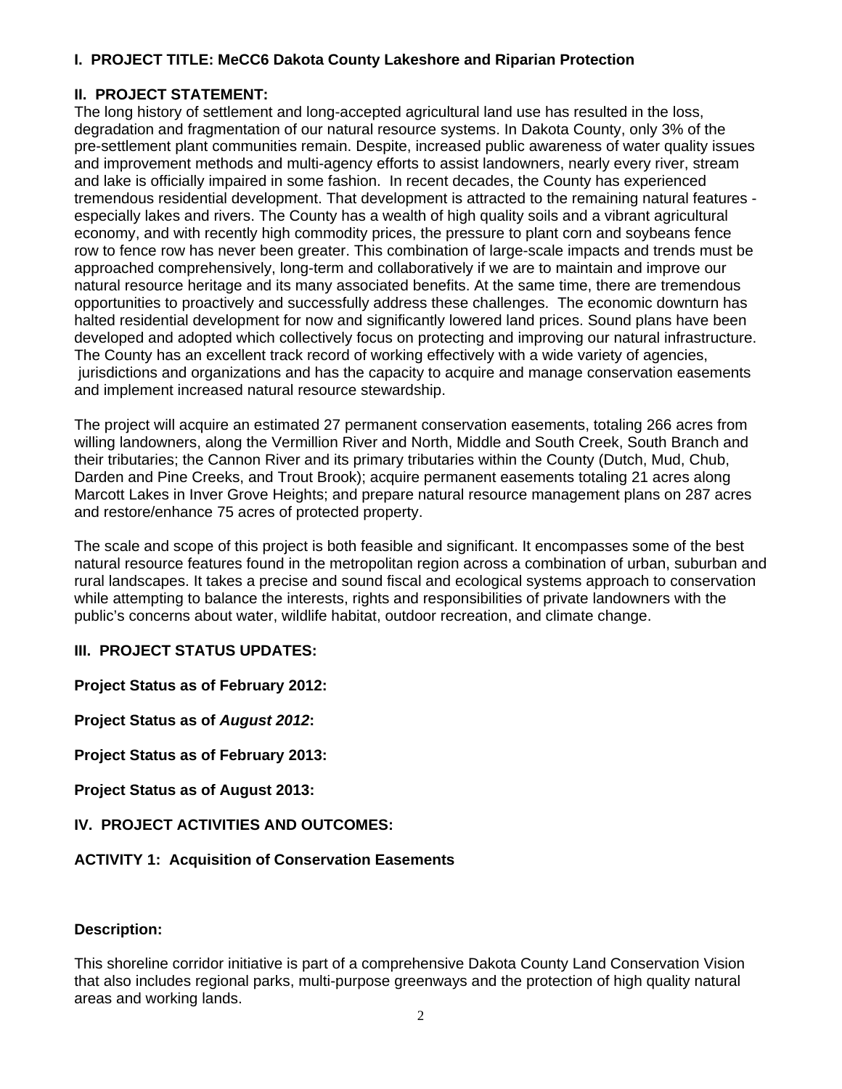## **I. PROJECT TITLE: MeCC6 Dakota County Lakeshore and Riparian Protection**

### **II. PROJECT STATEMENT:**

The long history of settlement and long-accepted agricultural land use has resulted in the loss, degradation and fragmentation of our natural resource systems. In Dakota County, only 3% of the pre-settlement plant communities remain. Despite, increased public awareness of water quality issues and improvement methods and multi-agency efforts to assist landowners, nearly every river, stream and lake is officially impaired in some fashion. In recent decades, the County has experienced tremendous residential development. That development is attracted to the remaining natural features especially lakes and rivers. The County has a wealth of high quality soils and a vibrant agricultural economy, and with recently high commodity prices, the pressure to plant corn and soybeans fence row to fence row has never been greater. This combination of large-scale impacts and trends must be approached comprehensively, long-term and collaboratively if we are to maintain and improve our natural resource heritage and its many associated benefits. At the same time, there are tremendous opportunities to proactively and successfully address these challenges. The economic downturn has halted residential development for now and significantly lowered land prices. Sound plans have been developed and adopted which collectively focus on protecting and improving our natural infrastructure. The County has an excellent track record of working effectively with a wide variety of agencies, jurisdictions and organizations and has the capacity to acquire and manage conservation easements and implement increased natural resource stewardship.

The project will acquire an estimated 27 permanent conservation easements, totaling 266 acres from willing landowners, along the Vermillion River and North, Middle and South Creek, South Branch and their tributaries; the Cannon River and its primary tributaries within the County (Dutch, Mud, Chub, Darden and Pine Creeks, and Trout Brook); acquire permanent easements totaling 21 acres along Marcott Lakes in Inver Grove Heights; and prepare natural resource management plans on 287 acres and restore/enhance 75 acres of protected property.

The scale and scope of this project is both feasible and significant. It encompasses some of the best natural resource features found in the metropolitan region across a combination of urban, suburban and rural landscapes. It takes a precise and sound fiscal and ecological systems approach to conservation while attempting to balance the interests, rights and responsibilities of private landowners with the public's concerns about water, wildlife habitat, outdoor recreation, and climate change.

### **III. PROJECT STATUS UPDATES:**

**Project Status as of February 2012:** 

**Project Status as of** *August 2012***:**

**Project Status as of February 2013:**

**Project Status as of August 2013:**

#### **IV. PROJECT ACTIVITIES AND OUTCOMES:**

#### **ACTIVITY 1: Acquisition of Conservation Easements**

#### **Description:**

This shoreline corridor initiative is part of a comprehensive Dakota County Land Conservation Vision that also includes regional parks, multi-purpose greenways and the protection of high quality natural areas and working lands.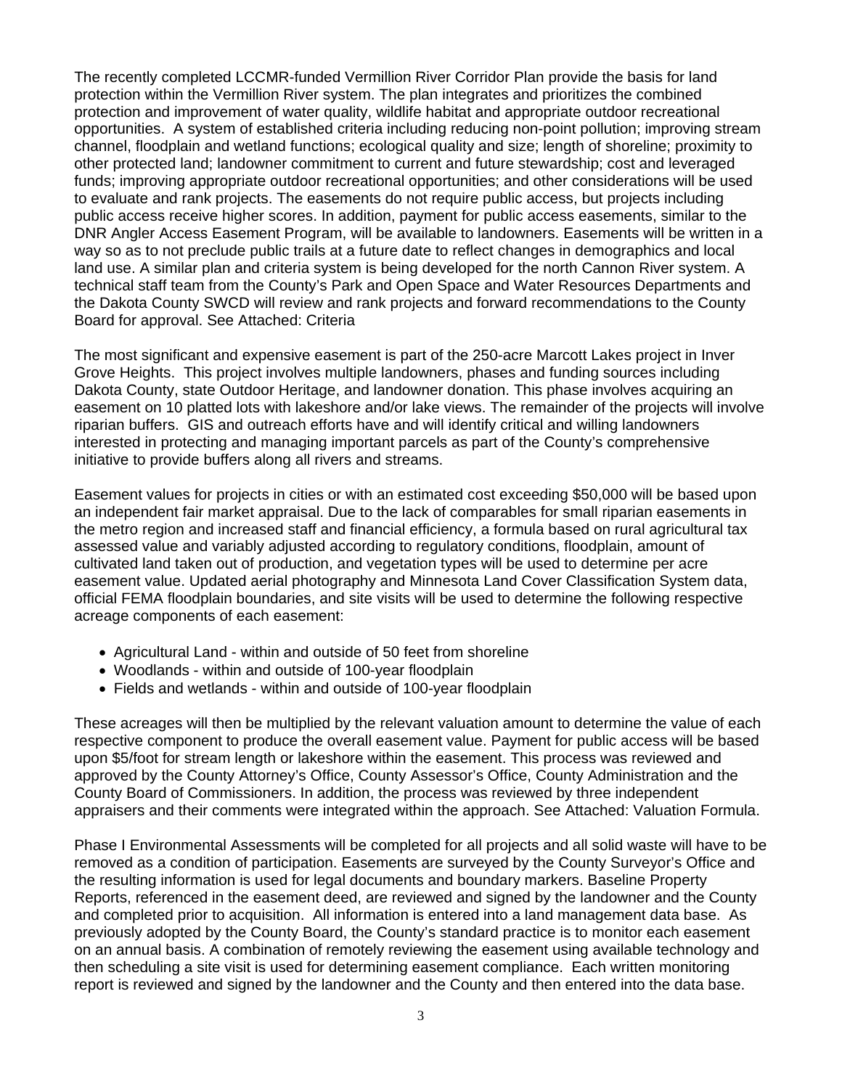The recently completed LCCMR-funded Vermillion River Corridor Plan provide the basis for land protection within the Vermillion River system. The plan integrates and prioritizes the combined protection and improvement of water quality, wildlife habitat and appropriate outdoor recreational opportunities. A system of established criteria including reducing non-point pollution; improving stream channel, floodplain and wetland functions; ecological quality and size; length of shoreline; proximity to other protected land; landowner commitment to current and future stewardship; cost and leveraged funds; improving appropriate outdoor recreational opportunities; and other considerations will be used to evaluate and rank projects. The easements do not require public access, but projects including public access receive higher scores. In addition, payment for public access easements, similar to the DNR Angler Access Easement Program, will be available to landowners. Easements will be written in a way so as to not preclude public trails at a future date to reflect changes in demographics and local land use. A similar plan and criteria system is being developed for the north Cannon River system. A technical staff team from the County's Park and Open Space and Water Resources Departments and the Dakota County SWCD will review and rank projects and forward recommendations to the County Board for approval. See Attached: Criteria

The most significant and expensive easement is part of the 250-acre Marcott Lakes project in Inver Grove Heights. This project involves multiple landowners, phases and funding sources including Dakota County, state Outdoor Heritage, and landowner donation. This phase involves acquiring an easement on 10 platted lots with lakeshore and/or lake views. The remainder of the projects will involve riparian buffers. GIS and outreach efforts have and will identify critical and willing landowners interested in protecting and managing important parcels as part of the County's comprehensive initiative to provide buffers along all rivers and streams.

Easement values for projects in cities or with an estimated cost exceeding \$50,000 will be based upon an independent fair market appraisal. Due to the lack of comparables for small riparian easements in the metro region and increased staff and financial efficiency, a formula based on rural agricultural tax assessed value and variably adjusted according to regulatory conditions, floodplain, amount of cultivated land taken out of production, and vegetation types will be used to determine per acre easement value. Updated aerial photography and Minnesota Land Cover Classification System data, official FEMA floodplain boundaries, and site visits will be used to determine the following respective acreage components of each easement:

- Agricultural Land within and outside of 50 feet from shoreline
- Woodlands within and outside of 100-year floodplain
- Fields and wetlands within and outside of 100-year floodplain

These acreages will then be multiplied by the relevant valuation amount to determine the value of each respective component to produce the overall easement value. Payment for public access will be based upon \$5/foot for stream length or lakeshore within the easement. This process was reviewed and approved by the County Attorney's Office, County Assessor's Office, County Administration and the County Board of Commissioners. In addition, the process was reviewed by three independent appraisers and their comments were integrated within the approach. See Attached: Valuation Formula.

Phase I Environmental Assessments will be completed for all projects and all solid waste will have to be removed as a condition of participation. Easements are surveyed by the County Surveyor's Office and the resulting information is used for legal documents and boundary markers. Baseline Property Reports, referenced in the easement deed, are reviewed and signed by the landowner and the County and completed prior to acquisition. All information is entered into a land management data base. As previously adopted by the County Board, the County's standard practice is to monitor each easement on an annual basis. A combination of remotely reviewing the easement using available technology and then scheduling a site visit is used for determining easement compliance. Each written monitoring report is reviewed and signed by the landowner and the County and then entered into the data base.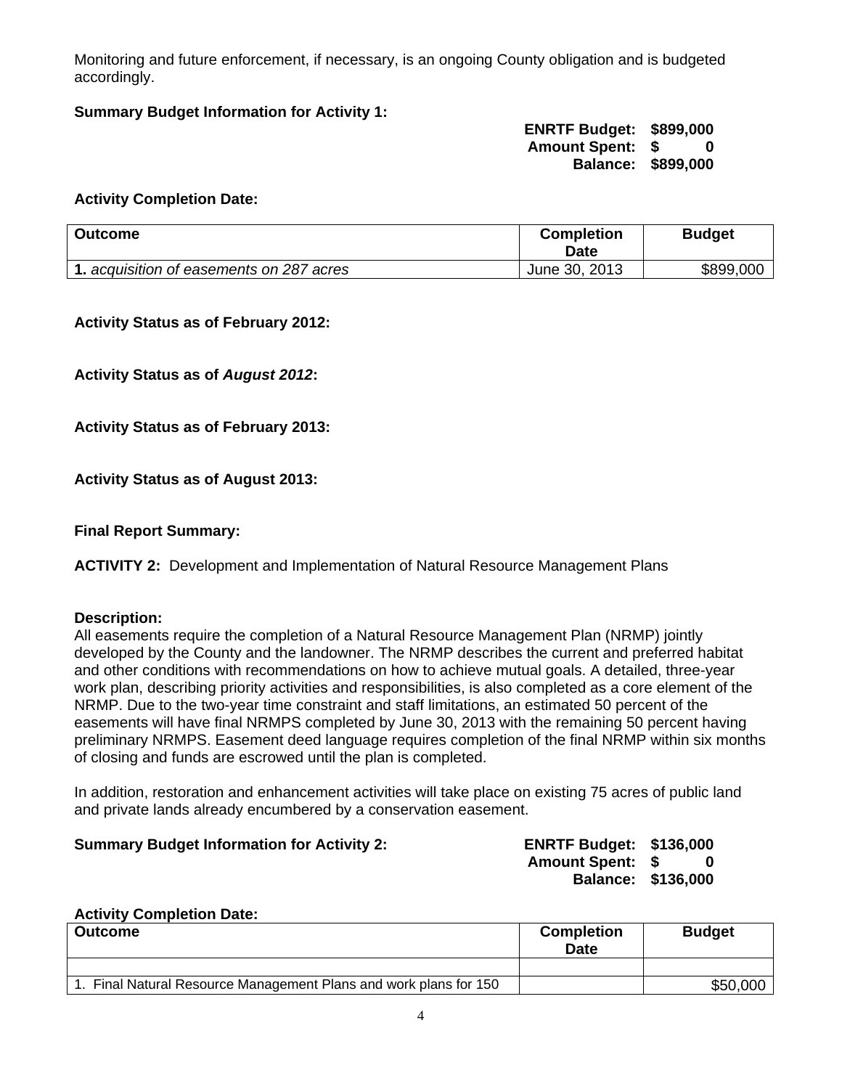Monitoring and future enforcement, if necessary, is an ongoing County obligation and is budgeted accordingly.

### **Summary Budget Information for Activity 1:**

 **ENRTF Budget: \$899,000 Amount Spent: \$ 0 Balance: \$899,000** 

#### **Activity Completion Date:**

| <b>Outcome</b>                           | <b>Completion</b><br>Date | <b>Budget</b> |
|------------------------------------------|---------------------------|---------------|
| 1. acquisition of easements on 287 acres | June 30, 2013             | \$899,000     |

**Activity Status as of February 2012:**

**Activity Status as of** *August 2012***:**

**Activity Status as of February 2013:**

**Activity Status as of August 2013:**

**Final Report Summary:**

**ACTIVITY 2:** Development and Implementation of Natural Resource Management Plans

#### **Description:**

All easements require the completion of a Natural Resource Management Plan (NRMP) jointly developed by the County and the landowner. The NRMP describes the current and preferred habitat and other conditions with recommendations on how to achieve mutual goals. A detailed, three-year work plan, describing priority activities and responsibilities, is also completed as a core element of the NRMP. Due to the two-year time constraint and staff limitations, an estimated 50 percent of the easements will have final NRMPS completed by June 30, 2013 with the remaining 50 percent having preliminary NRMPS. Easement deed language requires completion of the final NRMP within six months of closing and funds are escrowed until the plan is completed.

In addition, restoration and enhancement activities will take place on existing 75 acres of public land and private lands already encumbered by a conservation easement.

#### **Summary Budget Information for Activity 2: ENRTF Budget: \$136,000**

**Amount Spent: \$ 0 Balance: \$136,000** 

#### **Activity Completion Date:**

| <b>Outcome</b>                                                 | <b>Completion</b><br>Date | <b>Budget</b> |
|----------------------------------------------------------------|---------------------------|---------------|
|                                                                |                           |               |
| Final Natural Resource Management Plans and work plans for 150 |                           | \$50,000      |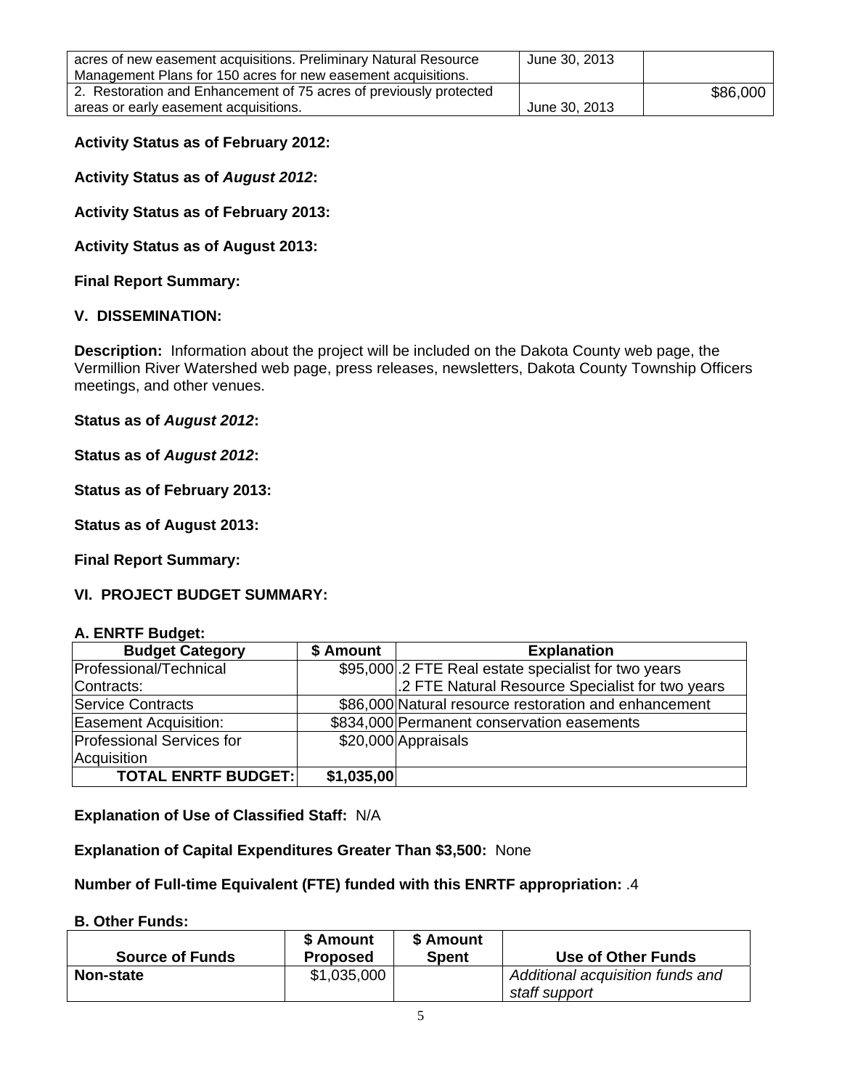| acres of new easement acquisitions. Preliminary Natural Resource   | June 30, 2013 |          |
|--------------------------------------------------------------------|---------------|----------|
| Management Plans for 150 acres for new easement acquisitions.      |               |          |
| 2. Restoration and Enhancement of 75 acres of previously protected |               | \$86,000 |
| areas or early easement acquisitions.                              | June 30, 2013 |          |

#### **Activity Status as of February 2012:**

**Activity Status as of** *August 2012***:**

**Activity Status as of February 2013:**

**Activity Status as of August 2013:**

**Final Report Summary:**

#### **V. DISSEMINATION:**

**Description:** Information about the project will be included on the Dakota County web page, the Vermillion River Watershed web page, press releases, newsletters, Dakota County Township Officers meetings, and other venues.

#### **Status as of** *August 2012***:**

**Status as of** *August 2012***:**

**Status as of February 2013:**

**Status as of August 2013:**

**Final Report Summary:**

#### **VI. PROJECT BUDGET SUMMARY:**

#### **A. ENRTF Budget:**

| <b>Budget Category</b>       | \$ Amount  | <b>Explanation</b>                                    |
|------------------------------|------------|-------------------------------------------------------|
| Professional/Technical       |            | \$95,000.2 FTE Real estate specialist for two years   |
| Contracts:                   |            | .2 FTE Natural Resource Specialist for two years      |
| Service Contracts            |            | \$86,000 Natural resource restoration and enhancement |
| <b>Easement Acquisition:</b> |            | \$834,000 Permanent conservation easements            |
| Professional Services for    |            | \$20,000 Appraisals                                   |
| Acquisition                  |            |                                                       |
| <b>TOTAL ENRTF BUDGET:</b>   | \$1,035,00 |                                                       |

**Explanation of Use of Classified Staff:** N/A

**Explanation of Capital Expenditures Greater Than \$3,500:** None

**Number of Full-time Equivalent (FTE) funded with this ENRTF appropriation:** .4

#### **B. Other Funds:**

| <b>Source of Funds</b> | \$ Amount<br>Proposed | \$ Amount<br><b>Spent</b> | Use of Other Funds               |
|------------------------|-----------------------|---------------------------|----------------------------------|
| <b>Non-state</b>       | \$1,035,000           |                           | Additional acquisition funds and |
|                        |                       |                           | staff support                    |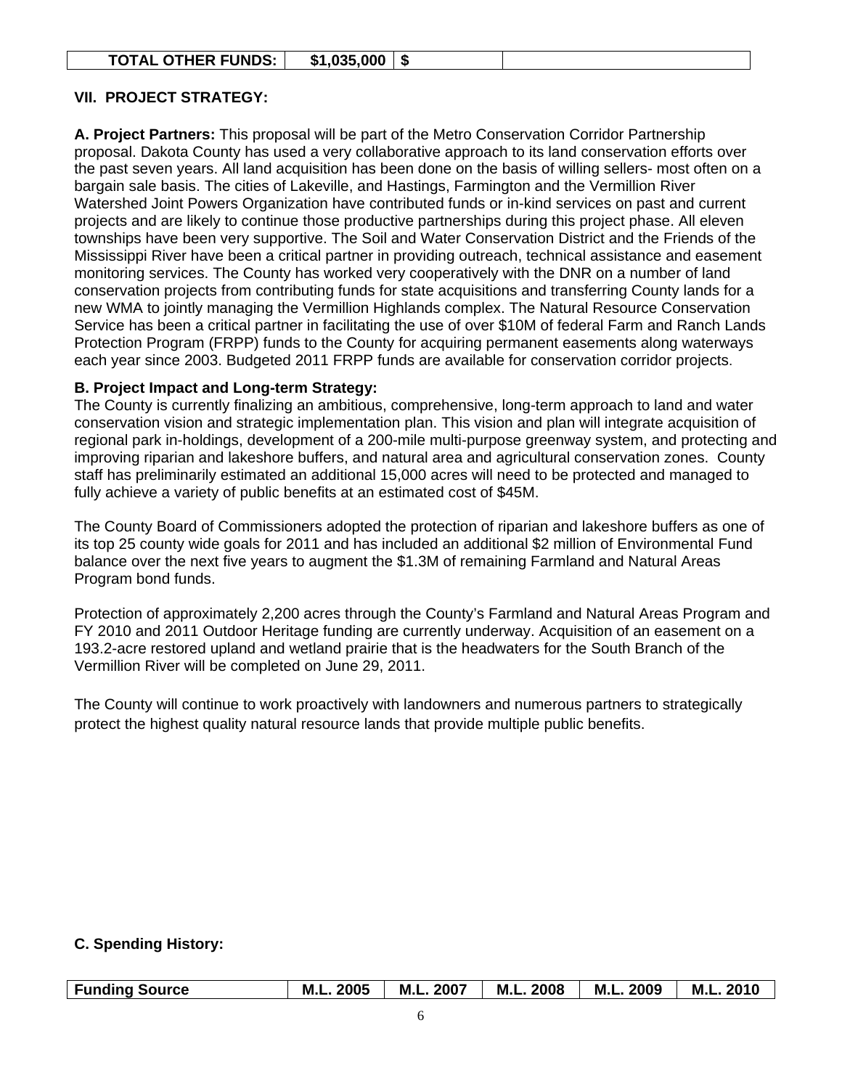|  | <b>TOTAL OTHER FUNDS:</b> | \$1,035,000 |  |  |
|--|---------------------------|-------------|--|--|
|--|---------------------------|-------------|--|--|

#### **VII. PROJECT STRATEGY:**

**A. Project Partners:** This proposal will be part of the Metro Conservation Corridor Partnership proposal. Dakota County has used a very collaborative approach to its land conservation efforts over the past seven years. All land acquisition has been done on the basis of willing sellers- most often on a bargain sale basis. The cities of Lakeville, and Hastings, Farmington and the Vermillion River Watershed Joint Powers Organization have contributed funds or in-kind services on past and current projects and are likely to continue those productive partnerships during this project phase. All eleven townships have been very supportive. The Soil and Water Conservation District and the Friends of the Mississippi River have been a critical partner in providing outreach, technical assistance and easement monitoring services. The County has worked very cooperatively with the DNR on a number of land conservation projects from contributing funds for state acquisitions and transferring County lands for a new WMA to jointly managing the Vermillion Highlands complex. The Natural Resource Conservation Service has been a critical partner in facilitating the use of over \$10M of federal Farm and Ranch Lands Protection Program (FRPP) funds to the County for acquiring permanent easements along waterways each year since 2003. Budgeted 2011 FRPP funds are available for conservation corridor projects.

#### **B. Project Impact and Long-term Strategy:**

The County is currently finalizing an ambitious, comprehensive, long-term approach to land and water conservation vision and strategic implementation plan. This vision and plan will integrate acquisition of regional park in-holdings, development of a 200-mile multi-purpose greenway system, and protecting and improving riparian and lakeshore buffers, and natural area and agricultural conservation zones. County staff has preliminarily estimated an additional 15,000 acres will need to be protected and managed to fully achieve a variety of public benefits at an estimated cost of \$45M.

The County Board of Commissioners adopted the protection of riparian and lakeshore buffers as one of its top 25 county wide goals for 2011 and has included an additional \$2 million of Environmental Fund balance over the next five years to augment the \$1.3M of remaining Farmland and Natural Areas Program bond funds.

Protection of approximately 2,200 acres through the County's Farmland and Natural Areas Program and FY 2010 and 2011 Outdoor Heritage funding are currently underway. Acquisition of an easement on a 193.2-acre restored upland and wetland prairie that is the headwaters for the South Branch of the Vermillion River will be completed on June 29, 2011.

The County will continue to work proactively with landowners and numerous partners to strategically protect the highest quality natural resource lands that provide multiple public benefits.

### **C. Spending History:**

| Funding Source | M.L. 2005   M.L. 2007 | M.L. 2008 | M.L. 2009 | $\vert$ M.L. 2010 |
|----------------|-----------------------|-----------|-----------|-------------------|
|                |                       |           |           |                   |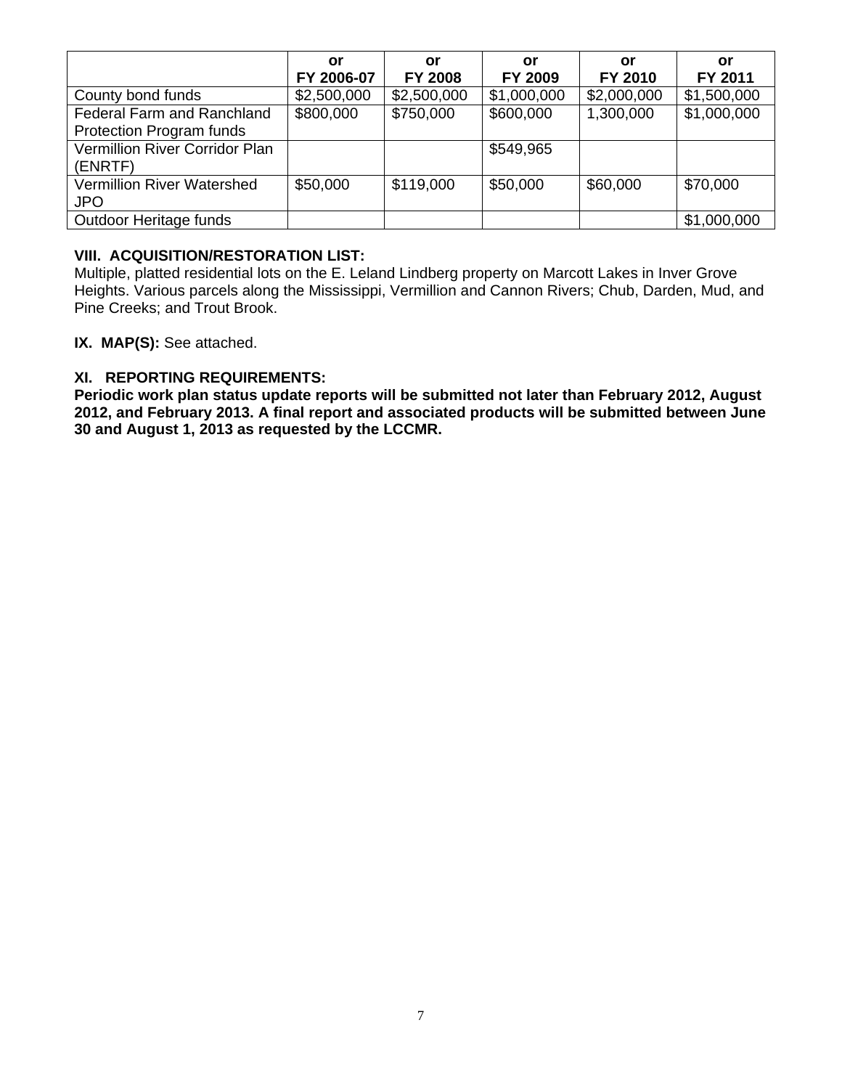|                                                               | or<br>FY 2006-07 | or<br><b>FY 2008</b> | or<br>FY 2009 | or<br>FY 2010 | or<br>FY 2011 |
|---------------------------------------------------------------|------------------|----------------------|---------------|---------------|---------------|
| County bond funds                                             | \$2,500,000      | \$2,500,000          | \$1,000,000   | \$2,000,000   | \$1,500,000   |
| Federal Farm and Ranchland<br><b>Protection Program funds</b> | \$800,000        | \$750,000            | \$600,000     | 1,300,000     | \$1,000,000   |
| <b>Vermillion River Corridor Plan</b><br>(ENRTF)              |                  |                      | \$549,965     |               |               |
| <b>Vermillion River Watershed</b><br><b>JPO</b>               | \$50,000         | \$119,000            | \$50,000      | \$60,000      | \$70,000      |
| Outdoor Heritage funds                                        |                  |                      |               |               | \$1,000,000   |

#### **VIII. ACQUISITION/RESTORATION LIST:**

Multiple, platted residential lots on the E. Leland Lindberg property on Marcott Lakes in Inver Grove Heights. Various parcels along the Mississippi, Vermillion and Cannon Rivers; Chub, Darden, Mud, and Pine Creeks; and Trout Brook.

**IX. MAP(S):** See attached.

#### **XI. REPORTING REQUIREMENTS:**

**Periodic work plan status update reports will be submitted not later than February 2012, August 2012, and February 2013. A final report and associated products will be submitted between June 30 and August 1, 2013 as requested by the LCCMR.**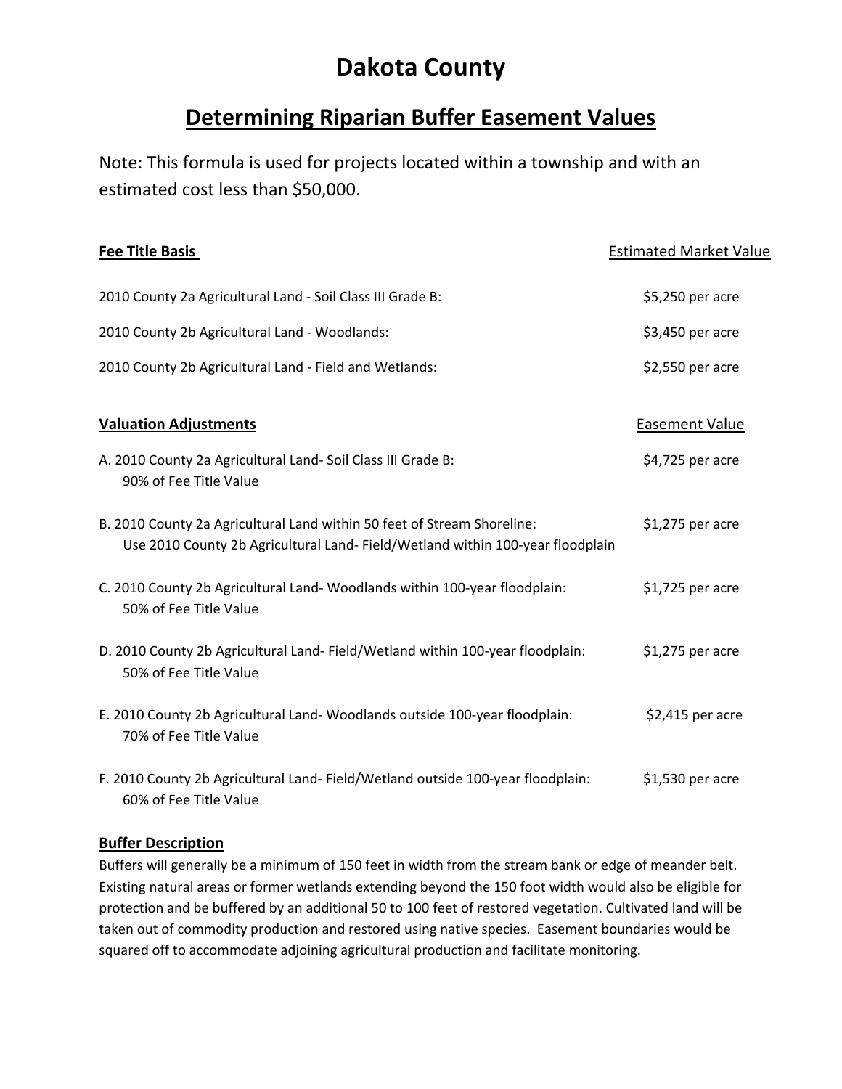# **Dakota County**

# **Determining Riparian Buffer Easement Values**

Note: This formula is used for projects located within a township and with an estimated cost less than \$50,000.

| <b>Fee Title Basis</b>                                                                                                                                    | <b>Estimated Market Value</b> |
|-----------------------------------------------------------------------------------------------------------------------------------------------------------|-------------------------------|
| 2010 County 2a Agricultural Land - Soil Class III Grade B:                                                                                                | \$5,250 per acre              |
| 2010 County 2b Agricultural Land - Woodlands:                                                                                                             | \$3,450 per acre              |
| 2010 County 2b Agricultural Land - Field and Wetlands:                                                                                                    | \$2,550 per acre              |
| <b>Valuation Adjustments</b>                                                                                                                              | <b>Easement Value</b>         |
| A. 2010 County 2a Agricultural Land- Soil Class III Grade B:<br>90% of Fee Title Value                                                                    | \$4,725 per acre              |
| B. 2010 County 2a Agricultural Land within 50 feet of Stream Shoreline:<br>Use 2010 County 2b Agricultural Land- Field/Wetland within 100-year floodplain | \$1,275 per acre              |
| C. 2010 County 2b Agricultural Land-Woodlands within 100-year floodplain:<br>50% of Fee Title Value                                                       | $$1,725$ per acre             |
| D. 2010 County 2b Agricultural Land- Field/Wetland within 100-year floodplain:<br>50% of Fee Title Value                                                  | $$1,275$ per acre             |
| E. 2010 County 2b Agricultural Land-Woodlands outside 100-year floodplain:<br>70% of Fee Title Value                                                      | $$2,415$ per acre             |
| F. 2010 County 2b Agricultural Land- Field/Wetland outside 100-year floodplain:<br>60% of Fee Title Value                                                 | \$1,530 per acre              |

#### **Buffer Description**

Buffers will generally be a minimum of 150 feet in width from the stream bank or edge of meander belt. Existing natural areas or former wetlands extending beyond the 150 foot width would also be eligible for protection and be buffered by an additional 50 to 100 feet of restored vegetation. Cultivated land will be taken out of commodity production and restored using native species. Easement boundaries would be squared off to accommodate adjoining agricultural production and facilitate monitoring.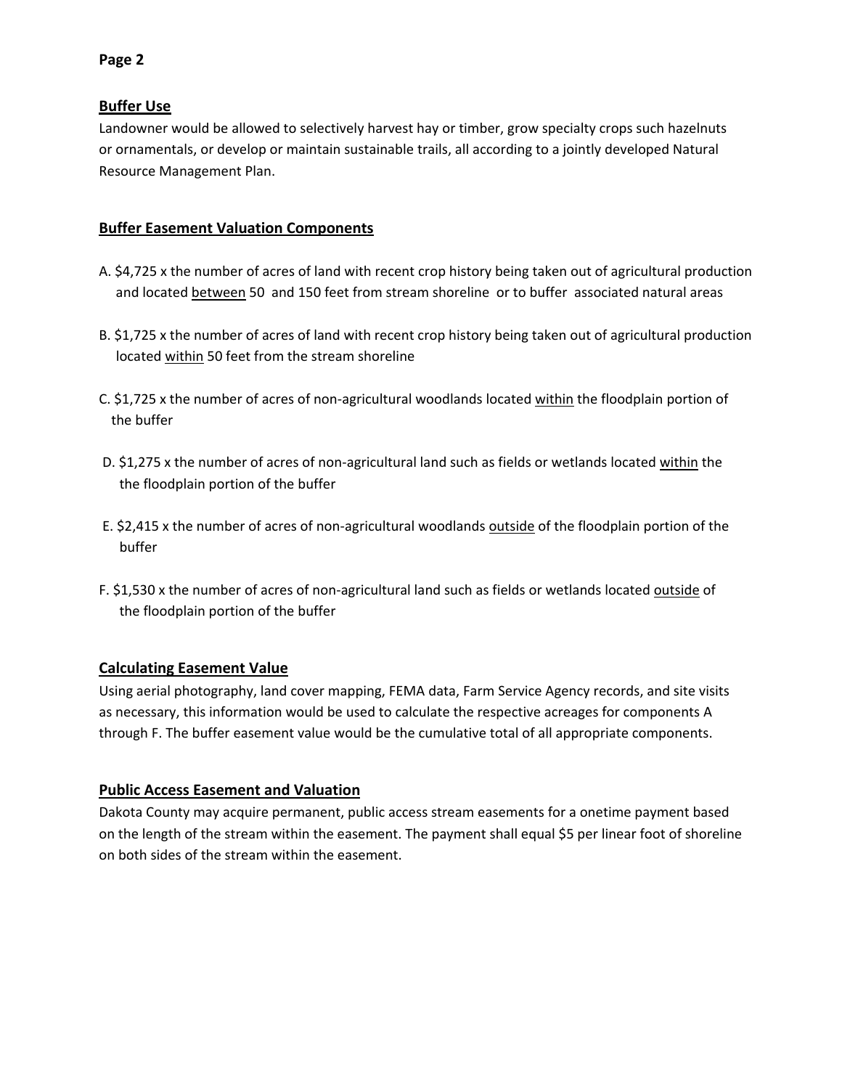#### **Buffer Use**

Landowner would be allowed to selectively harvest hay or timber, grow specialty crops such hazelnuts or ornamentals, or develop or maintain sustainable trails, all according to a jointly developed Natural Resource Management Plan.

#### **Buffer Easement Valuation Components**

- A. \$4,725 x the number of acres of land with recent crop history being taken out of agricultural production and located between 50 and 150 feet from stream shoreline or to buffer associated natural areas
- B. \$1,725 x the number of acres of land with recent crop history being taken out of agricultural production located within 50 feet from the stream shoreline
- C. \$1,725 x the number of acres of non-agricultural woodlands located within the floodplain portion of the buffer
- D. \$1,275 x the number of acres of non-agricultural land such as fields or wetlands located within the the floodplain portion of the buffer
- E. \$2,415 x the number of acres of non‐agricultural woodlands outside of the floodplain portion of the buffer
- F. \$1,530 x the number of acres of non-agricultural land such as fields or wetlands located outside of the floodplain portion of the buffer

#### **Calculating Easement Value**

Using aerial photography, land cover mapping, FEMA data, Farm Service Agency records, and site visits as necessary, this information would be used to calculate the respective acreages for components A through F. The buffer easement value would be the cumulative total of all appropriate components.

### **Public Access Easement and Valuation**

Dakota County may acquire permanent, public access stream easements for a onetime payment based on the length of the stream within the easement. The payment shall equal \$5 per linear foot of shoreline on both sides of the stream within the easement.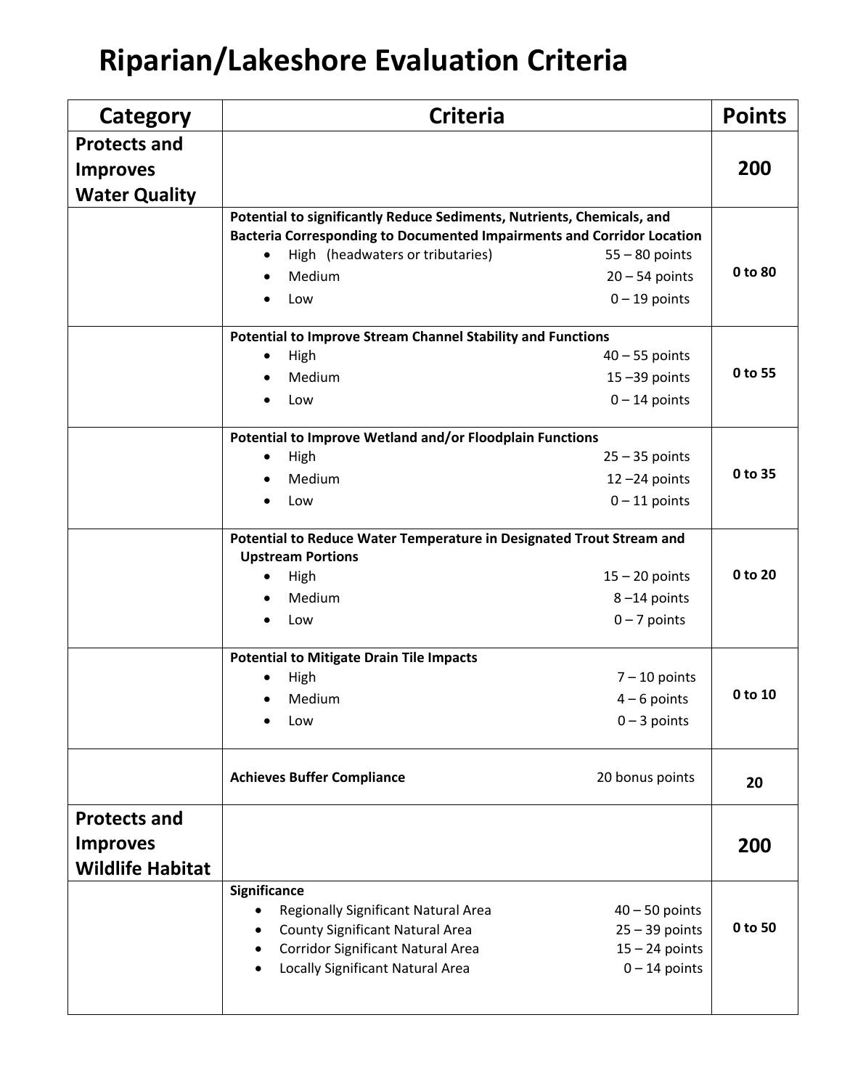# **Riparian/Lakeshore Evaluation Criteria**

| Category                                | <b>Criteria</b>                                                                                  |                                      | <b>Points</b> |
|-----------------------------------------|--------------------------------------------------------------------------------------------------|--------------------------------------|---------------|
| <b>Protects and</b>                     |                                                                                                  |                                      | 200           |
| <b>Improves</b><br><b>Water Quality</b> |                                                                                                  |                                      |               |
|                                         | Potential to significantly Reduce Sediments, Nutrients, Chemicals, and                           |                                      |               |
|                                         | Bacteria Corresponding to Documented Impairments and Corridor Location                           |                                      |               |
|                                         | High (headwaters or tributaries)                                                                 | $55 - 80$ points                     |               |
|                                         | Medium<br>$\bullet$                                                                              | $20 - 54$ points                     | 0 to 80       |
|                                         | Low                                                                                              | $0 - 19$ points                      |               |
|                                         | <b>Potential to Improve Stream Channel Stability and Functions</b>                               |                                      |               |
|                                         | High                                                                                             | $40 - 55$ points                     |               |
|                                         | Medium                                                                                           | $15 - 39$ points                     | 0 to 55       |
|                                         | Low<br>$\bullet$                                                                                 | $0 - 14$ points                      |               |
|                                         | Potential to Improve Wetland and/or Floodplain Functions                                         |                                      |               |
|                                         | High<br>$\bullet$                                                                                | $25 - 35$ points                     |               |
|                                         | Medium                                                                                           | $12 - 24$ points                     | 0 to 35       |
|                                         | Low                                                                                              | $0 - 11$ points                      |               |
|                                         | Potential to Reduce Water Temperature in Designated Trout Stream and<br><b>Upstream Portions</b> |                                      |               |
|                                         | High<br>$\bullet$                                                                                | $15 - 20$ points                     | 0 to 20       |
|                                         | Medium                                                                                           | $8 - 14$ points                      |               |
|                                         | Low                                                                                              | $0 - 7$ points                       |               |
|                                         | <b>Potential to Mitigate Drain Tile Impacts</b>                                                  |                                      |               |
|                                         | High                                                                                             | $7 - 10$ points                      |               |
|                                         | Medium                                                                                           | $4 - 6$ points                       | 0 to 10       |
|                                         | Low                                                                                              | $0 - 3$ points                       |               |
|                                         | <b>Achieves Buffer Compliance</b>                                                                | 20 bonus points                      | 20            |
| <b>Protects and</b>                     |                                                                                                  |                                      |               |
| <b>Improves</b>                         |                                                                                                  |                                      | 200           |
| <b>Wildlife Habitat</b>                 |                                                                                                  |                                      |               |
|                                         | Significance                                                                                     |                                      |               |
|                                         | Regionally Significant Natural Area                                                              | $40 - 50$ points                     | 0 to 50       |
|                                         | <b>County Significant Natural Area</b><br><b>Corridor Significant Natural Area</b>               | $25 - 39$ points<br>$15 - 24$ points |               |
|                                         | Locally Significant Natural Area                                                                 | $0 - 14$ points                      |               |
|                                         |                                                                                                  |                                      |               |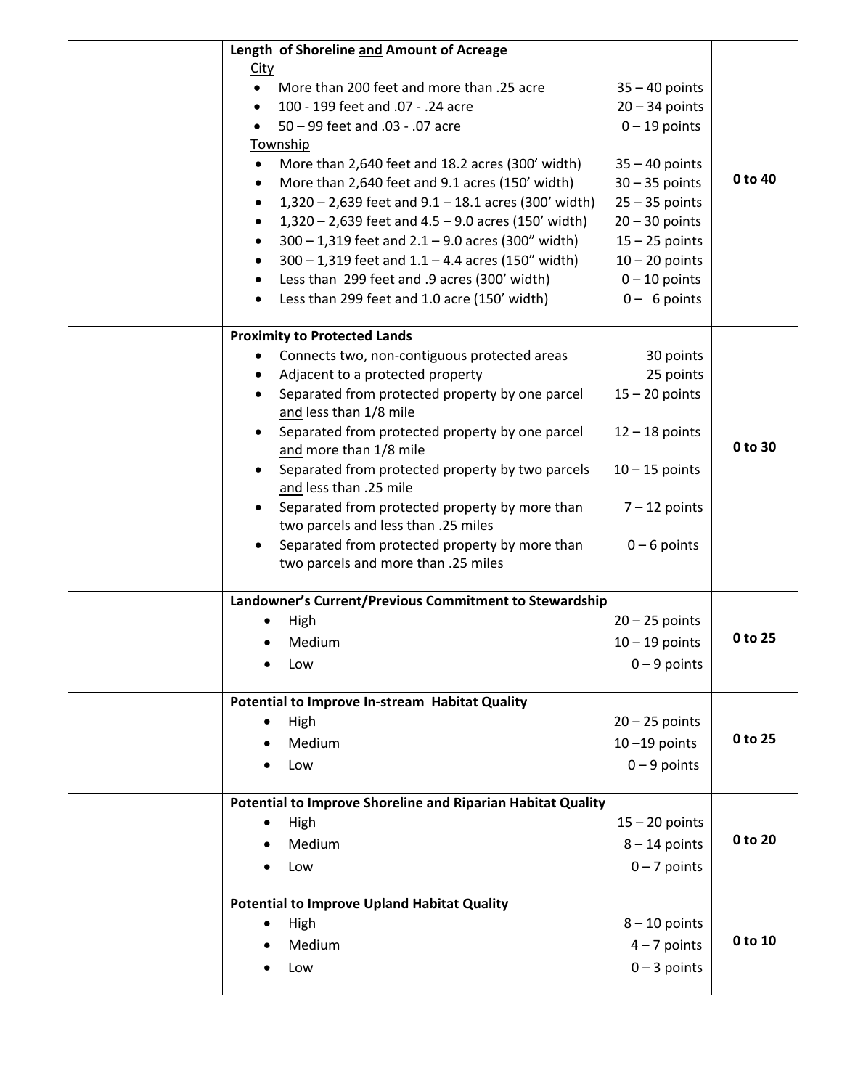| Length of Shoreline and Amount of Acreage                                                          |                  |         |
|----------------------------------------------------------------------------------------------------|------------------|---------|
| <u>City</u>                                                                                        |                  |         |
| More than 200 feet and more than .25 acre<br>$\bullet$                                             | $35 - 40$ points |         |
| 100 - 199 feet and .07 - .24 acre<br>$\bullet$                                                     | $20 - 34$ points |         |
| 50 - 99 feet and .03 - .07 acre<br>٠                                                               | $0 - 19$ points  |         |
| <b>Township</b>                                                                                    |                  |         |
| More than 2,640 feet and 18.2 acres (300' width)<br>٠                                              | $35 - 40$ points |         |
| More than 2,640 feet and 9.1 acres (150' width)<br>$\bullet$                                       | $30 - 35$ points | 0 to 40 |
| $1,320 - 2,639$ feet and $9.1 - 18.1$ acres (300' width)<br>$\bullet$                              | $25 - 35$ points |         |
| $1,320 - 2,639$ feet and $4.5 - 9.0$ acres (150' width)<br>$\bullet$                               | $20 - 30$ points |         |
| $300 - 1,319$ feet and $2.1 - 9.0$ acres (300" width)<br>$\bullet$                                 | $15 - 25$ points |         |
| $300 - 1,319$ feet and $1.1 - 4.4$ acres (150" width)<br>$\bullet$                                 | $10 - 20$ points |         |
| Less than 299 feet and .9 acres (300' width)<br>٠                                                  | $0 - 10$ points  |         |
| Less than 299 feet and 1.0 acre (150' width)<br>$\bullet$                                          | $0 - 6$ points   |         |
| <b>Proximity to Protected Lands</b>                                                                |                  |         |
| Connects two, non-contiguous protected areas<br>٠                                                  | 30 points        |         |
| Adjacent to a protected property<br>٠                                                              | 25 points        |         |
| Separated from protected property by one parcel<br>and less than 1/8 mile                          | $15 - 20$ points |         |
| Separated from protected property by one parcel<br>$\bullet$<br>and more than 1/8 mile             | $12 - 18$ points | 0 to 30 |
| Separated from protected property by two parcels<br>٠<br>and less than .25 mile                    | $10 - 15$ points |         |
| Separated from protected property by more than<br>$\bullet$                                        | $7 - 12$ points  |         |
| two parcels and less than .25 miles<br>Separated from protected property by more than<br>$\bullet$ | $0 - 6$ points   |         |
| two parcels and more than .25 miles                                                                |                  |         |
| Landowner's Current/Previous Commitment to Stewardship                                             |                  |         |
| High                                                                                               | $20 - 25$ points |         |
| Medium                                                                                             | $10 - 19$ points | 0 to 25 |
| Low                                                                                                | $0 - 9$ points   |         |
| Potential to Improve In-stream Habitat Quality                                                     |                  |         |
| High                                                                                               | $20 - 25$ points |         |
| Medium                                                                                             | $10 - 19$ points | 0 to 25 |
| Low                                                                                                | $0 - 9$ points   |         |
| Potential to Improve Shoreline and Riparian Habitat Quality                                        |                  |         |
| High<br>٠                                                                                          | $15 - 20$ points |         |
| Medium                                                                                             | $8 - 14$ points  | 0 to 20 |
| Low                                                                                                | $0 - 7$ points   |         |
| <b>Potential to Improve Upland Habitat Quality</b>                                                 |                  |         |
| High                                                                                               | $8 - 10$ points  |         |
| Medium                                                                                             | $4 - 7$ points   | 0 to 10 |
| Low                                                                                                | $0 - 3$ points   |         |
|                                                                                                    |                  |         |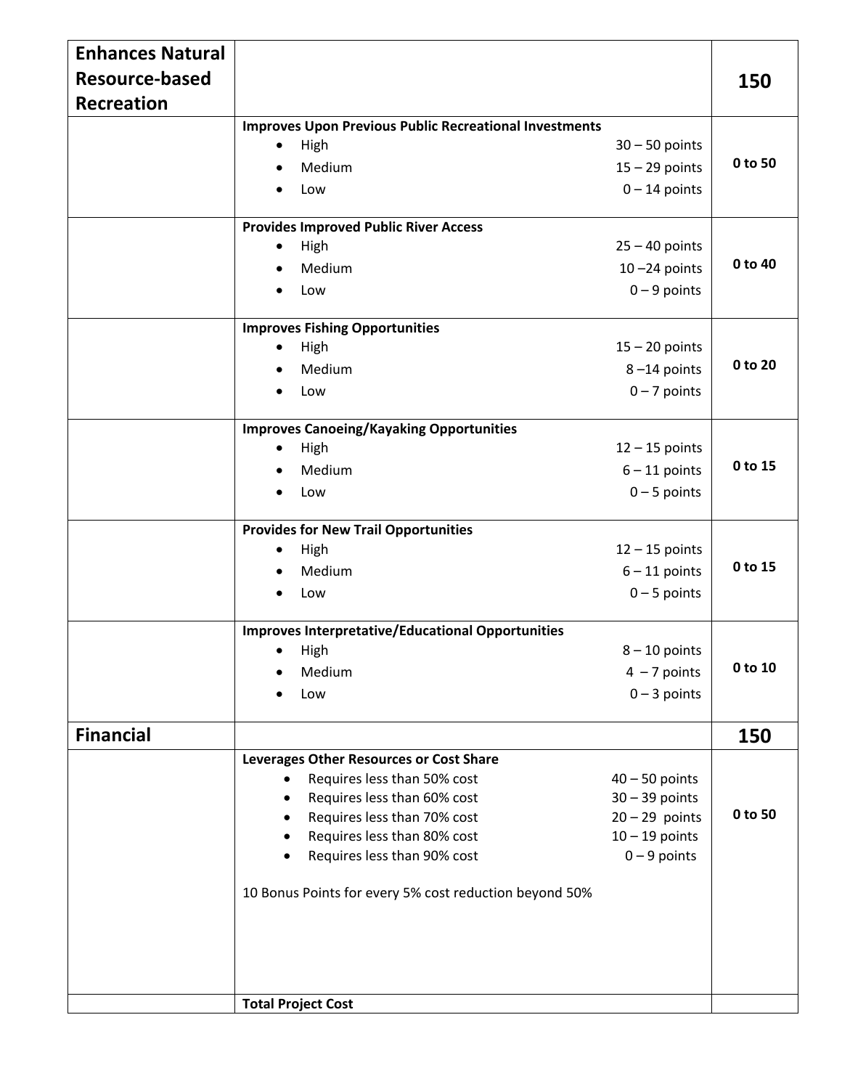| <b>Enhances Natural</b>   |                                                               |                                      |         |  |  |  |
|---------------------------|---------------------------------------------------------------|--------------------------------------|---------|--|--|--|
| <b>Resource-based</b>     |                                                               |                                      | 150     |  |  |  |
| <b>Recreation</b>         |                                                               |                                      |         |  |  |  |
|                           | <b>Improves Upon Previous Public Recreational Investments</b> |                                      |         |  |  |  |
|                           | High                                                          | $30 - 50$ points                     |         |  |  |  |
|                           | Medium                                                        | $15 - 29$ points                     | 0 to 50 |  |  |  |
|                           | Low                                                           | $0 - 14$ points                      |         |  |  |  |
|                           | <b>Provides Improved Public River Access</b>                  |                                      |         |  |  |  |
|                           | High                                                          | $25 - 40$ points                     |         |  |  |  |
|                           | Medium                                                        | $10 - 24$ points                     | 0 to 40 |  |  |  |
|                           |                                                               |                                      |         |  |  |  |
|                           | Low                                                           | $0 - 9$ points                       |         |  |  |  |
|                           | <b>Improves Fishing Opportunities</b>                         |                                      |         |  |  |  |
|                           | High                                                          | $15 - 20$ points                     |         |  |  |  |
|                           | Medium                                                        | $8 - 14$ points                      | 0 to 20 |  |  |  |
|                           | Low                                                           | $0 - 7$ points                       |         |  |  |  |
|                           | <b>Improves Canoeing/Kayaking Opportunities</b>               |                                      |         |  |  |  |
|                           | High                                                          | $12 - 15$ points                     |         |  |  |  |
|                           | Medium                                                        | $6 - 11$ points                      | 0 to 15 |  |  |  |
|                           | Low                                                           | $0 - 5$ points                       |         |  |  |  |
|                           |                                                               |                                      |         |  |  |  |
|                           | <b>Provides for New Trail Opportunities</b>                   |                                      |         |  |  |  |
|                           | High                                                          | $12 - 15$ points                     |         |  |  |  |
|                           | Medium                                                        | $6 - 11$ points                      | 0 to 15 |  |  |  |
|                           | Low                                                           | $0 - 5$ points                       |         |  |  |  |
|                           | <b>Improves Interpretative/Educational Opportunities</b>      |                                      |         |  |  |  |
|                           | High                                                          | $8 - 10$ points                      |         |  |  |  |
|                           | Medium                                                        | $4 - 7$ points                       | 0 to 10 |  |  |  |
|                           | Low                                                           | $0 - 3$ points                       |         |  |  |  |
|                           |                                                               |                                      |         |  |  |  |
| <b>Financial</b>          |                                                               |                                      | 150     |  |  |  |
|                           | Leverages Other Resources or Cost Share                       |                                      |         |  |  |  |
|                           | Requires less than 50% cost<br>$\bullet$                      | $40 - 50$ points<br>$30 - 39$ points |         |  |  |  |
|                           | Requires less than 60% cost<br>Requires less than 70% cost    | $20 - 29$ points                     | 0 to 50 |  |  |  |
|                           | Requires less than 80% cost                                   | $10 - 19$ points                     |         |  |  |  |
|                           | Requires less than 90% cost<br>٠                              | $0 - 9$ points                       |         |  |  |  |
|                           |                                                               |                                      |         |  |  |  |
|                           | 10 Bonus Points for every 5% cost reduction beyond 50%        |                                      |         |  |  |  |
|                           |                                                               |                                      |         |  |  |  |
|                           |                                                               |                                      |         |  |  |  |
|                           |                                                               |                                      |         |  |  |  |
|                           |                                                               |                                      |         |  |  |  |
| <b>Total Project Cost</b> |                                                               |                                      |         |  |  |  |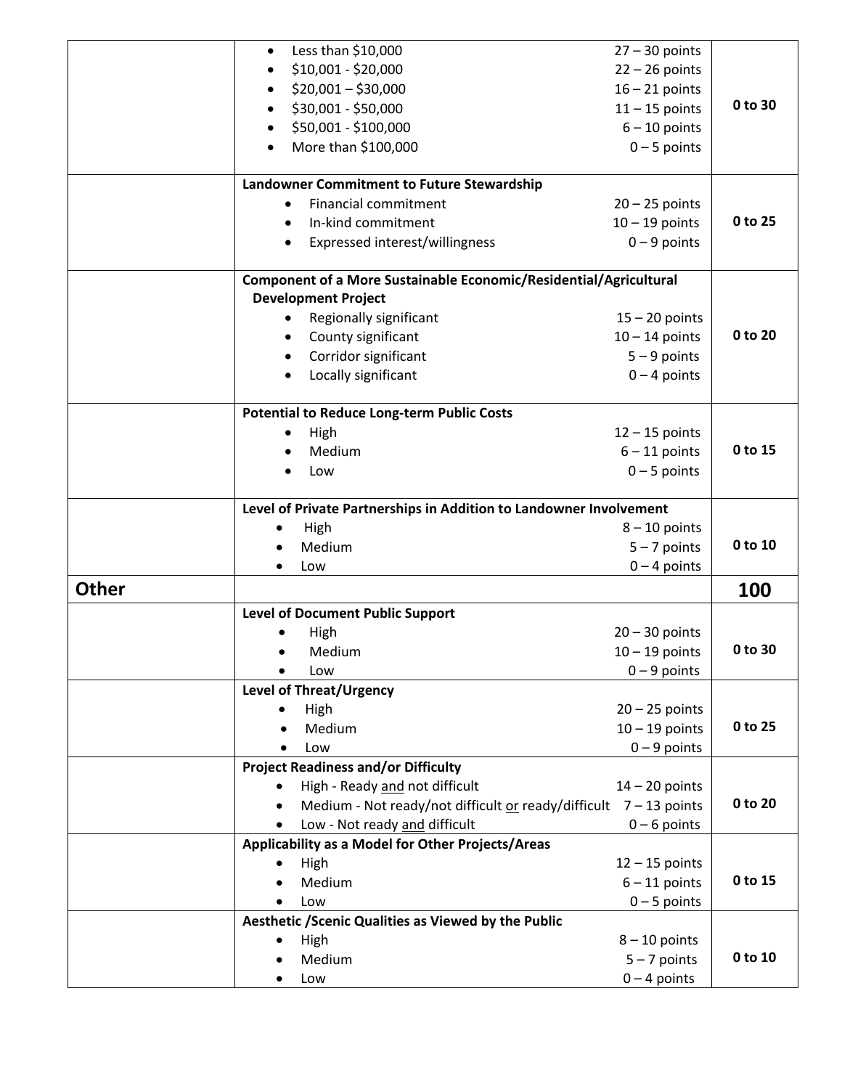|              | Less than \$10,000<br>$\bullet$                                                                 | $27 - 30$ points |         |
|--------------|-------------------------------------------------------------------------------------------------|------------------|---------|
|              | \$10,001 - \$20,000                                                                             | $22 - 26$ points |         |
|              | $$20,001 - $30,000$                                                                             | $16 - 21$ points |         |
|              |                                                                                                 |                  | 0 to 30 |
|              | \$30,001 - \$50,000                                                                             | $11 - 15$ points |         |
|              | \$50,001 - \$100,000                                                                            | $6 - 10$ points  |         |
|              | More than \$100,000                                                                             | $0 - 5$ points   |         |
|              | <b>Landowner Commitment to Future Stewardship</b>                                               |                  |         |
|              | <b>Financial commitment</b><br>$\bullet$                                                        | $20 - 25$ points |         |
|              | In-kind commitment<br>$\bullet$                                                                 | $10 - 19$ points | 0 to 25 |
|              | Expressed interest/willingness                                                                  | $0 - 9$ points   |         |
|              | Component of a More Sustainable Economic/Residential/Agricultural<br><b>Development Project</b> |                  |         |
|              | Regionally significant<br>$\bullet$                                                             | $15 - 20$ points |         |
|              | County significant<br>$\bullet$                                                                 | $10 - 14$ points | 0 to 20 |
|              | Corridor significant                                                                            | $5 - 9$ points   |         |
|              | Locally significant                                                                             | $0 - 4$ points   |         |
|              |                                                                                                 |                  |         |
|              | <b>Potential to Reduce Long-term Public Costs</b>                                               |                  |         |
|              | High                                                                                            | $12 - 15$ points |         |
|              | Medium                                                                                          | $6 - 11$ points  | 0 to 15 |
|              | Low                                                                                             | $0 - 5$ points   |         |
|              | Level of Private Partnerships in Addition to Landowner Involvement                              |                  |         |
|              | High                                                                                            | $8 - 10$ points  |         |
|              | Medium                                                                                          | $5 - 7$ points   | 0 to 10 |
|              | Low                                                                                             | $0 - 4$ points   |         |
| <b>Other</b> |                                                                                                 |                  | 100     |
|              | <b>Level of Document Public Support</b>                                                         |                  |         |
|              | High                                                                                            | $20 - 30$ points |         |
|              | Medium                                                                                          | $10 - 19$ points | 0 to 30 |
|              | Low<br>$\bullet$                                                                                | $0 - 9$ points   |         |
|              | <b>Level of Threat/Urgency</b>                                                                  |                  |         |
|              | High                                                                                            | $20 - 25$ points |         |
|              | Medium                                                                                          | $10 - 19$ points | 0 to 25 |
|              | Low                                                                                             | $0 - 9$ points   |         |
|              | <b>Project Readiness and/or Difficulty</b>                                                      |                  |         |
|              | High - Ready and not difficult                                                                  | $14 - 20$ points |         |
|              | Medium - Not ready/not difficult or ready/difficult $7 - 13$ points                             |                  | 0 to 20 |
|              | Low - Not ready and difficult                                                                   | $0 - 6$ points   |         |
|              | Applicability as a Model for Other Projects/Areas                                               |                  |         |
|              | High                                                                                            | $12 - 15$ points |         |
|              | Medium                                                                                          | $6 - 11$ points  | 0 to 15 |
|              | Low                                                                                             | $0 - 5$ points   |         |
|              | Aesthetic / Scenic Qualities as Viewed by the Public                                            |                  |         |
|              | High                                                                                            | $8 - 10$ points  |         |
|              | Medium                                                                                          | $5 - 7$ points   | 0 to 10 |
|              | Low                                                                                             | $0 - 4$ points   |         |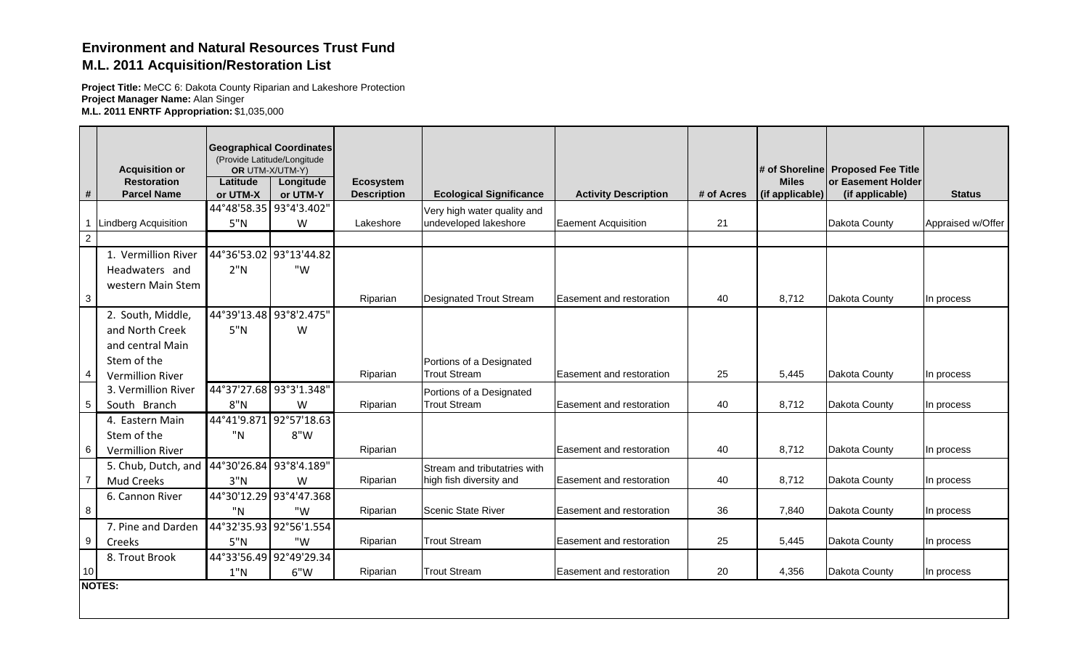## **Environment and Natural Resources Trust FundM.L. 2011 Acquisition/Restoration List**

**Project Title:** MeCC 6: Dakota County Riparian and Lakeshore Protection **Project Manager Name:** Alan Singer **M.L. 2011 ENRTF Appropriation:** \$1,035,000

|                 |                                             | (Provide Latitude/Longitude | <b>Geographical Coordinates</b> |                    |                                |                                 |            |                 |                                   |                   |
|-----------------|---------------------------------------------|-----------------------------|---------------------------------|--------------------|--------------------------------|---------------------------------|------------|-----------------|-----------------------------------|-------------------|
|                 | <b>Acquisition or</b>                       | OR UTM-X/UTM-Y)             |                                 |                    |                                |                                 |            |                 | # of Shoreline Proposed Fee Title |                   |
|                 | <b>Restoration</b>                          | Latitude                    | Longitude                       | <b>Ecosystem</b>   |                                |                                 |            | <b>Miles</b>    | or Easement Holder                |                   |
| #               | <b>Parcel Name</b>                          | or UTM-X                    | or UTM-Y                        | <b>Description</b> | <b>Ecological Significance</b> | <b>Activity Description</b>     | # of Acres | (if applicable) | (if applicable)                   | <b>Status</b>     |
|                 |                                             | 44°48'58.35 93°4'3.402"     |                                 |                    | Very high water quality and    |                                 |            |                 |                                   |                   |
|                 | <b>Lindberg Acquisition</b>                 | 5"N                         | W                               | Lakeshore          | undeveloped lakeshore          | <b>Eaement Acquisition</b>      | 21         |                 | Dakota County                     | Appraised w/Offer |
| $\overline{2}$  |                                             |                             |                                 |                    |                                |                                 |            |                 |                                   |                   |
|                 | 1. Vermillion River                         |                             | 44°36'53.02 93°13'44.82         |                    |                                |                                 |            |                 |                                   |                   |
|                 | Headwaters and                              | 2"N                         | "W                              |                    |                                |                                 |            |                 |                                   |                   |
|                 | western Main Stem                           |                             |                                 |                    |                                |                                 |            |                 |                                   |                   |
| 3               |                                             |                             |                                 | Riparian           | Designated Trout Stream        | <b>Easement and restoration</b> | 40         | 8,712           | Dakota County                     | In process        |
|                 | 2. South, Middle,                           | 44°39'13.48 93°8'2.475"     |                                 |                    |                                |                                 |            |                 |                                   |                   |
|                 | and North Creek                             | 5"N                         | W                               |                    |                                |                                 |            |                 |                                   |                   |
|                 | and central Main                            |                             |                                 |                    |                                |                                 |            |                 |                                   |                   |
|                 | Stem of the                                 |                             |                                 |                    | Portions of a Designated       |                                 |            |                 |                                   |                   |
| $\overline{a}$  | <b>Vermillion River</b>                     |                             |                                 | Riparian           | <b>Trout Stream</b>            | <b>Easement and restoration</b> | 25         | 5,445           | Dakota County                     | In process        |
|                 | 3. Vermillion River                         | 44°37'27.68 93°3'1.348"     |                                 |                    | Portions of a Designated       |                                 |            |                 |                                   |                   |
| $\overline{5}$  | South Branch                                | 8"N                         | W                               | Riparian           | <b>Trout Stream</b>            | Easement and restoration        | 40         | 8,712           | Dakota County                     | In process        |
|                 | 4. Eastern Main                             | 44°41'9.871 92°57'18.63     |                                 |                    |                                |                                 |            |                 |                                   |                   |
|                 | Stem of the                                 | "N                          | 8"W                             |                    |                                |                                 |            |                 |                                   |                   |
| 6               | Vermillion River                            |                             |                                 | Riparian           |                                | <b>Easement and restoration</b> | 40         | 8,712           | Dakota County                     | In process        |
|                 | 5. Chub, Dutch, and 44°30'26.84 93°8'4.189" |                             |                                 |                    | Stream and tributatries with   |                                 |            |                 |                                   |                   |
| $\overline{7}$  | <b>Mud Creeks</b>                           | 3"N                         | W                               | Riparian           | high fish diversity and        | Easement and restoration        | 40         | 8,712           | Dakota County                     | In process        |
|                 | 6. Cannon River                             |                             | 44°30'12.29 93°4'47.368         |                    |                                |                                 |            |                 |                                   |                   |
| 8               |                                             | "N                          | "W                              | Riparian           | Scenic State River             | <b>Easement and restoration</b> | 36         | 7,840           | Dakota County                     | In process        |
|                 | 7. Pine and Darden                          |                             | 44°32'35.93 92°56'1.554         |                    |                                |                                 |            |                 |                                   |                   |
| 9               | Creeks                                      | 5"N                         | "W                              | Riparian           | <b>Trout Stream</b>            | Easement and restoration        | 25         | 5,445           | Dakota County                     | In process        |
|                 | 8. Trout Brook                              |                             | 44°33'56.49 92°49'29.34         |                    |                                |                                 |            |                 |                                   |                   |
| 10 <sup>1</sup> |                                             | 1"N                         | 6"W                             | Riparian           | <b>Trout Stream</b>            | Easement and restoration        | 20         | 4,356           | Dakota County                     | In process        |
|                 | <b>NOTES:</b>                               |                             |                                 |                    |                                |                                 |            |                 |                                   |                   |
|                 |                                             |                             |                                 |                    |                                |                                 |            |                 |                                   |                   |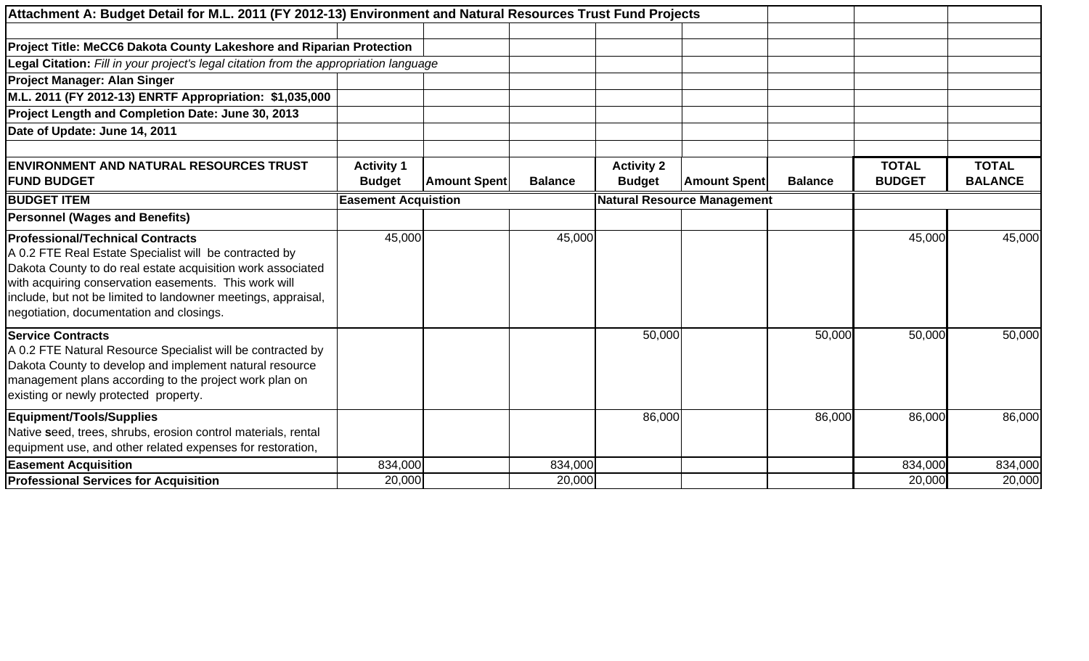| Attachment A: Budget Detail for M.L. 2011 (FY 2012-13) Environment and Natural Resources Trust Fund Projects                                                                                                                                                                                                                           |                            |                     |                |                                    |                     |                |               |                |
|----------------------------------------------------------------------------------------------------------------------------------------------------------------------------------------------------------------------------------------------------------------------------------------------------------------------------------------|----------------------------|---------------------|----------------|------------------------------------|---------------------|----------------|---------------|----------------|
|                                                                                                                                                                                                                                                                                                                                        |                            |                     |                |                                    |                     |                |               |                |
| Project Title: MeCC6 Dakota County Lakeshore and Riparian Protection                                                                                                                                                                                                                                                                   |                            |                     |                |                                    |                     |                |               |                |
| Legal Citation: Fill in your project's legal citation from the appropriation language                                                                                                                                                                                                                                                  |                            |                     |                |                                    |                     |                |               |                |
| <b>Project Manager: Alan Singer</b>                                                                                                                                                                                                                                                                                                    |                            |                     |                |                                    |                     |                |               |                |
| M.L. 2011 (FY 2012-13) ENRTF Appropriation: \$1,035,000                                                                                                                                                                                                                                                                                |                            |                     |                |                                    |                     |                |               |                |
| Project Length and Completion Date: June 30, 2013                                                                                                                                                                                                                                                                                      |                            |                     |                |                                    |                     |                |               |                |
| Date of Update: June 14, 2011                                                                                                                                                                                                                                                                                                          |                            |                     |                |                                    |                     |                |               |                |
|                                                                                                                                                                                                                                                                                                                                        |                            |                     |                |                                    |                     |                |               |                |
| <b>ENVIRONMENT AND NATURAL RESOURCES TRUST</b>                                                                                                                                                                                                                                                                                         | <b>Activity 1</b>          |                     |                | <b>Activity 2</b>                  |                     |                | <b>TOTAL</b>  | <b>TOTAL</b>   |
| <b>FUND BUDGET</b>                                                                                                                                                                                                                                                                                                                     | <b>Budget</b>              | <b>Amount Spent</b> | <b>Balance</b> | <b>Budget</b>                      | <b>Amount Spent</b> | <b>Balance</b> | <b>BUDGET</b> | <b>BALANCE</b> |
| <b>BUDGET ITEM</b>                                                                                                                                                                                                                                                                                                                     | <b>Easement Acquistion</b> |                     |                | <b>Natural Resource Management</b> |                     |                |               |                |
| <b>Personnel (Wages and Benefits)</b>                                                                                                                                                                                                                                                                                                  |                            |                     |                |                                    |                     |                |               |                |
| <b>Professional/Technical Contracts</b><br>A 0.2 FTE Real Estate Specialist will be contracted by<br>Dakota County to do real estate acquisition work associated<br>with acquiring conservation easements. This work will<br>include, but not be limited to landowner meetings, appraisal,<br>negotiation, documentation and closings. | 45,000                     |                     | 45,000         |                                    |                     |                | 45,000        | 45,000         |
| <b>Service Contracts</b><br>A 0.2 FTE Natural Resource Specialist will be contracted by<br>Dakota County to develop and implement natural resource<br>management plans according to the project work plan on<br>existing or newly protected property.                                                                                  |                            |                     |                | 50,000                             |                     | 50,000         | 50,000        | 50,000         |
| <b>Equipment/Tools/Supplies</b><br>Native seed, trees, shrubs, erosion control materials, rental<br>equipment use, and other related expenses for restoration,                                                                                                                                                                         |                            |                     |                | 86,000                             |                     | 86,000         | 86,000        | 86,000         |
| <b>Easement Acquisition</b>                                                                                                                                                                                                                                                                                                            | 834,000                    |                     | 834,000        |                                    |                     |                | 834,000       | 834,000        |
| <b>Professional Services for Acquisition</b>                                                                                                                                                                                                                                                                                           | 20,000                     |                     | 20,000         |                                    |                     |                | 20,000        | 20,000         |